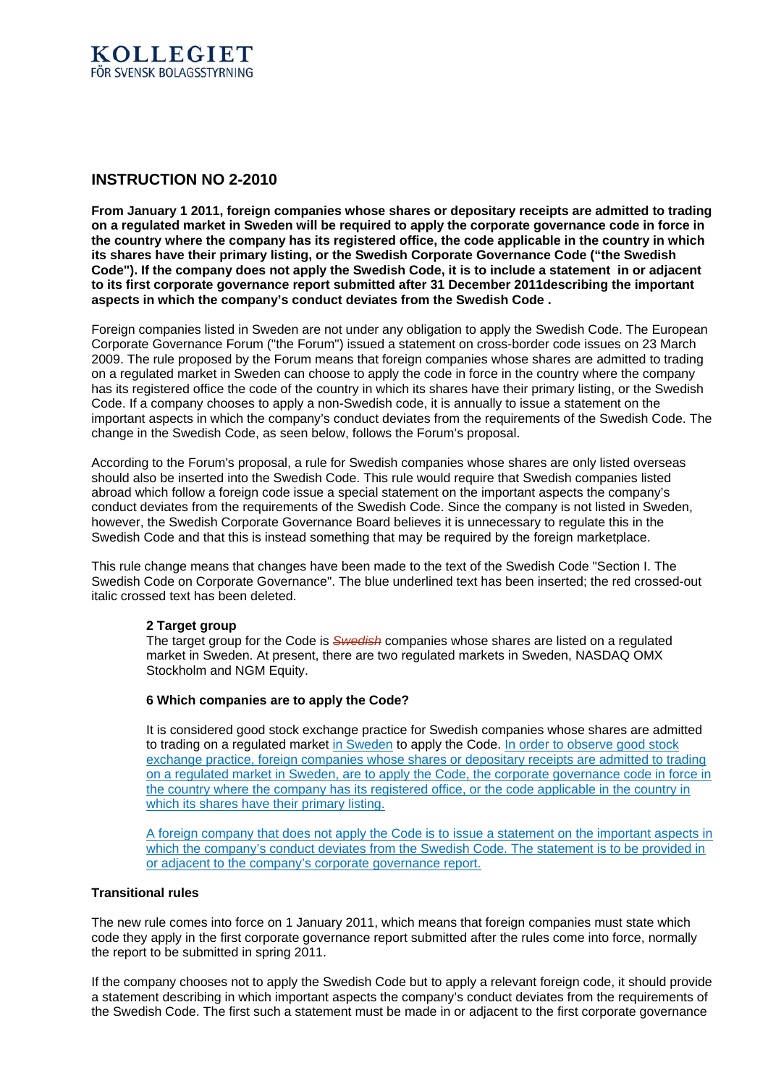

## **INSTRUCTION NO 2-2010**

**From January 1 2011, foreign companies whose shares or depositary receipts are admitted to trading on a regulated market in Sweden will be required to apply the corporate governance code in force in the country where the company has its registered office, the code applicable in the country in which its shares have their primary listing, or the Swedish Corporate Governance Code ("the Swedish Code"). If the company does not apply the Swedish Code, it is to include a statement in or adjacent to its first corporate governance report submitted after 31 December 2011describing the important aspects in which the company's conduct deviates from the Swedish Code .**

Foreign companies listed in Sweden are not under any obligation to apply the Swedish Code. The European Corporate Governance Forum ("the Forum") issued a statement on cross-border code issues on 23 March 2009. The rule proposed by the Forum means that foreign companies whose shares are admitted to trading on a regulated market in Sweden can choose to apply the code in force in the country where the company has its registered office the code of the country in which its shares have their primary listing, or the Swedish Code. If a company chooses to apply a non-Swedish code, it is annually to issue a statement on the important aspects in which the company's conduct deviates from the requirements of the Swedish Code. The change in the Swedish Code, as seen below, follows the Forum's proposal.

According to the Forum's proposal, a rule for Swedish companies whose shares are only listed overseas should also be inserted into the Swedish Code. This rule would require that Swedish companies listed abroad which follow a foreign code issue a special statement on the important aspects the company's conduct deviates from the requirements of the Swedish Code. Since the company is not listed in Sweden, however, the Swedish Corporate Governance Board believes it is unnecessary to regulate this in the Swedish Code and that this is instead something that may be required by the foreign marketplace.

This rule change means that changes have been made to the text of the Swedish Code "Section I. The Swedish Code on Corporate Governance". The blue underlined text has been inserted; the red crossed-out italic crossed text has been deleted.

## **2 Target group**

The target group for the Code is *Swedish* companies whose shares are listed on a regulated market in Sweden. At present, there are two regulated markets in Sweden, NASDAQ OMX Stockholm and NGM Equity.

## **6 Which companies are to apply the Code?**

It is considered good stock exchange practice for Swedish companies whose shares are admitted to trading on a regulated market in Sweden to apply the Code. In order to observe good stock exchange practice, foreign companies whose shares or depositary receipts are admitted to trading on a regulated market in Sweden, are to apply the Code, the corporate governance code in force in the country where the company has its registered office, or the code applicable in the country in which its shares have their primary listing.

A foreign company that does not apply the Code is to issue a statement on the important aspects in which the company's conduct deviates from the Swedish Code. The statement is to be provided in or adjacent to the company's corporate governance report.

## **Transitional rules**

The new rule comes into force on 1 January 2011, which means that foreign companies must state which code they apply in the first corporate governance report submitted after the rules come into force, normally the report to be submitted in spring 2011.

If the company chooses not to apply the Swedish Code but to apply a relevant foreign code, it should provide a statement describing in which important aspects the company's conduct deviates from the requirements of the Swedish Code. The first such a statement must be made in or adjacent to the first corporate governance